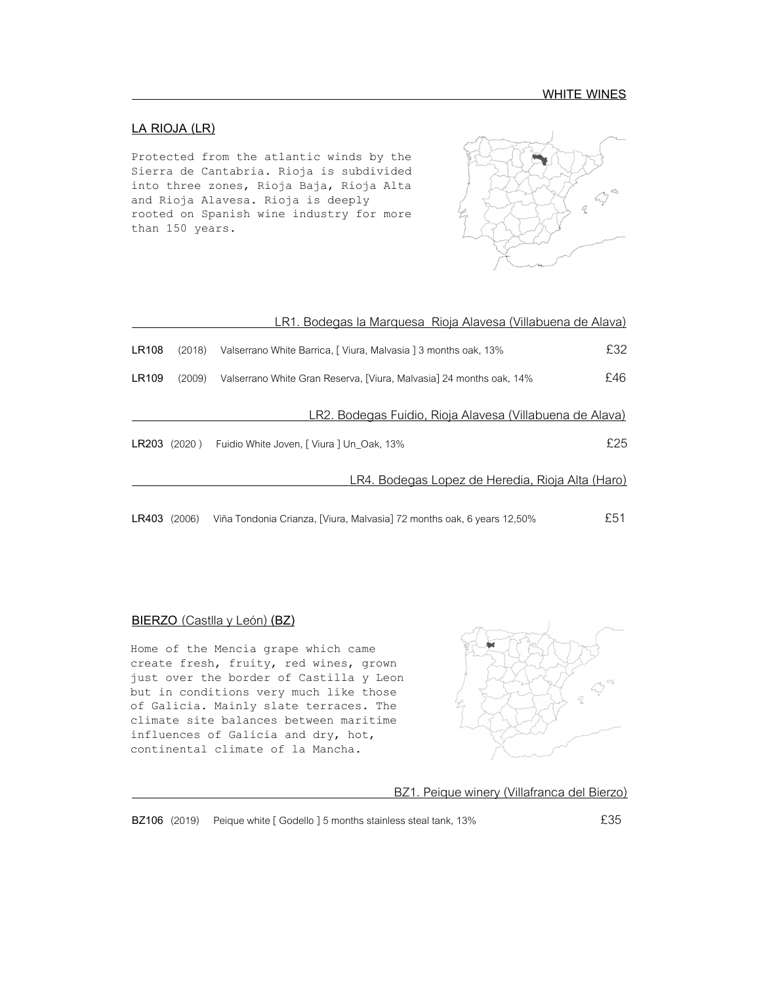## **LA RIOJA (LR)**

Protected from the atlantic winds by the Sierra de Cantabria. Rioja is subdivided into three zones, Rioja Baja, Rioja Alta and Rioja Alavesa. Rioja is deeply rooted on Spanish wine industry for more than 150 years.



|       |              | LR1. Bodegas la Marquesa Rioja Alavesa (Villabuena de Alava)        |     |
|-------|--------------|---------------------------------------------------------------------|-----|
| LR108 | (2018)       | Valserrano White Barrica, [ Viura, Malvasia ] 3 months oak, 13%     | £32 |
| LR109 | (2009)       | Valserrano White Gran Reserva, [Viura, Malvasia] 24 months oak, 14% | £46 |
|       |              | <u>LR2. Bodegas Fuidio, Rioja Alavesa (Villabuena de Alava)</u>     |     |
|       | LR203 (2020) | Fuidio White Joven, [ Viura ] Un Oak, 13%                           | £25 |
|       |              | <u>LR4. Bodegas Lopez de Heredia, Rioja Alta (Haro).</u>            |     |

**LR403** (2006) Viña Tondonia Crianza, [Viura, Malvasia] 72 months oak, 6 years 12,50% £51

## **BIERZO** (Castlla y León) **(BZ)**

Home of the Mencia grape which came create fresh, fruity, red wines, grown just over the border of Castilla y Leon but in conditions very much like those of Galicia. Mainly slate terraces. The climate site balances between maritime influences of Galicia and dry, hot, continental climate of la Mancha.



BZ1. Peique winery (Villafranca del Bierzo)

**BZ106** (2019) Peique white [ Godello ] 5 months stainless steal tank, 13% **E** 255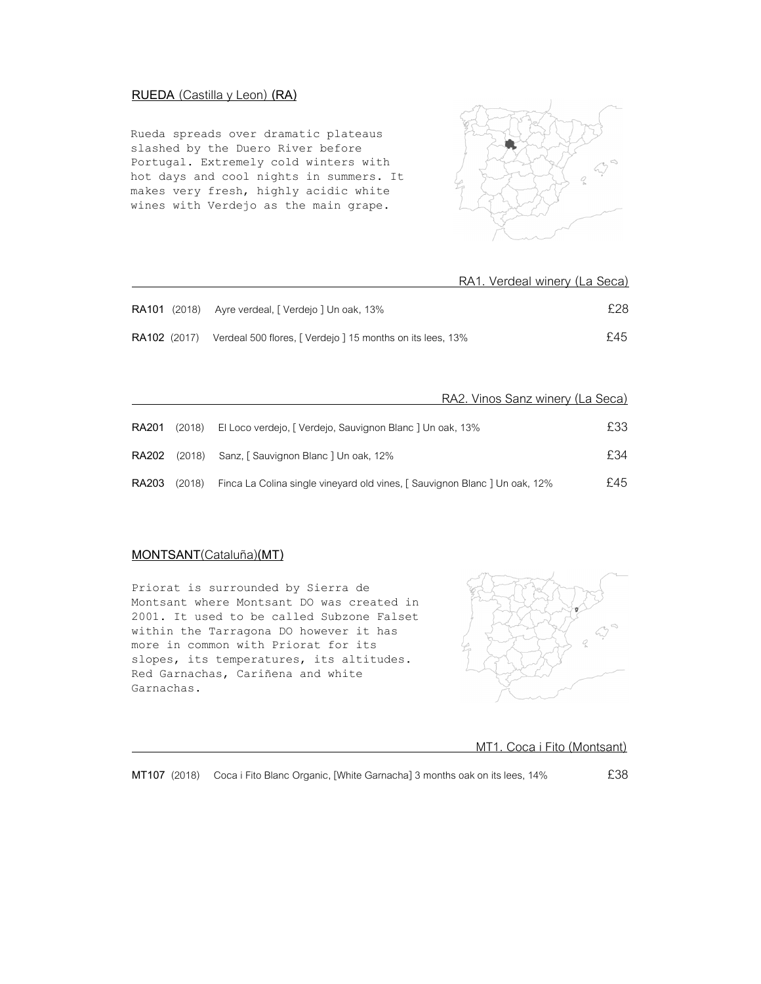## **RUEDA** (Castilla y Leon) **(RA)**

Rueda spreads over dramatic plateaus slashed by the Duero River before Portugal. Extremely cold winters with hot days and cool nights in summers. It makes very fresh, highly acidic white wines with Verdejo as the main grape.



|                                                                               | RA1. Verdeal winery (La Seca) |
|-------------------------------------------------------------------------------|-------------------------------|
| <b>RA101</b> (2018) Ayre verdeal, [ Verdejo ] Un oak, 13%                     | £28                           |
| <b>RA102</b> (2017) Verdeal 500 flores, [Verdejo ] 15 months on its lees, 13% | £45.                          |

|       |        | RA2. Vinos Sanz winery (La Seca)                                         |      |
|-------|--------|--------------------------------------------------------------------------|------|
| RA201 | (2018) | El Loco verdejo, [ Verdejo, Sauvignon Blanc ] Un oak, 13%                | £33  |
|       |        | RA202 (2018) Sanz, [Sauvignon Blanc ] Un oak, 12%                        | £34  |
| RA203 | (2018) | Finca La Colina single vineyard old vines, [Sauvignon Blanc] Un oak, 12% | £45. |

## **MONTSANT**(Cataluña)**(MT)**

Priorat is surrounded by Sierra de Montsant where Montsant DO was created in 2001. It used to be called Subzone Falset within the Tarragona DO however it has more in common with Priorat for its slopes, its temperatures, its altitudes. Red Garnachas, Cariñena and white Garnachas.



MT1. Coca i Fito (Montsant)

**MT107** (2018) Coca i Fito Blanc Organic, [White Garnacha] 3 months oak on its lees, 14%  $£38$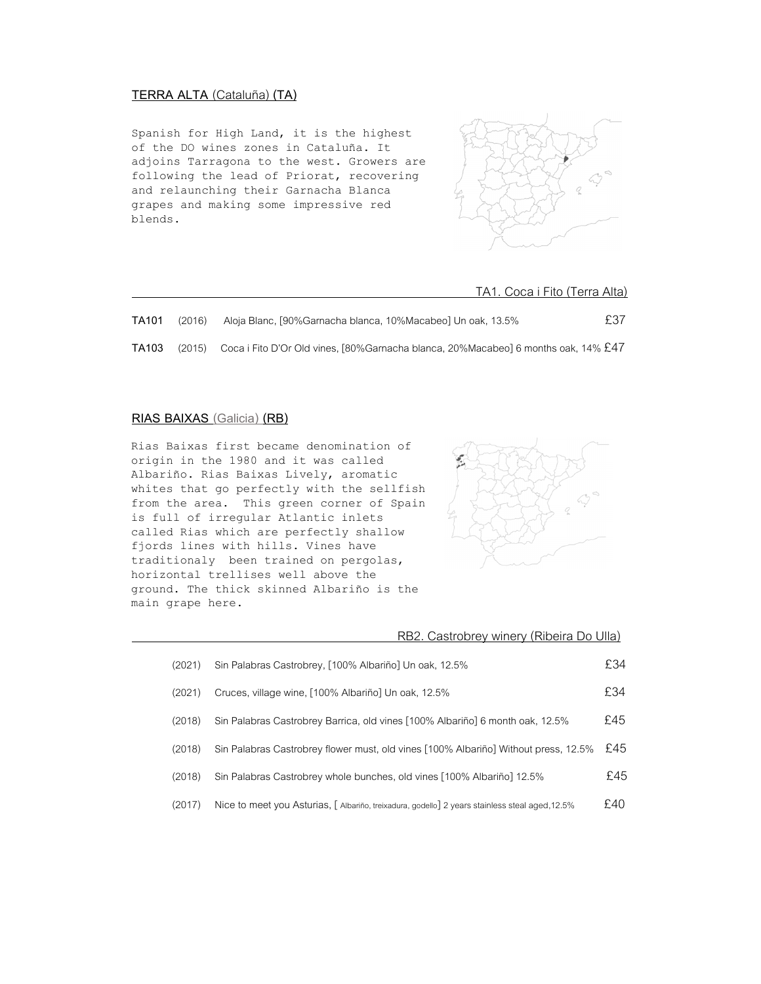## **TERRA ALTA** (Cataluña) **(TA)**

Spanish for High Land, it is the highest of the DO wines zones in Cataluña. It adjoins Tarragona to the west. Growers are following the lead of Priorat, recovering and relaunching their Garnacha Blanca grapes and making some impressive red blends.



#### TA1. Coca i Fito (Terra Alta)

| TA101 | (2016) | Aloja Blanc, [90%Garnacha blanca, 10%Macabeo] Un oak, 13.5%                                              | £37 |
|-------|--------|----------------------------------------------------------------------------------------------------------|-----|
| TA103 |        | (2015) Coca i Fito D'Or Old vines, [80%Garnacha blanca, 20%Macabeo] 6 months oak, 14% $\text{\pounds}47$ |     |

## **RIAS BAIXAS (Galicia) (RB)**

Rias Baixas first became denomination of origin in the 1980 and it was called Albariño. Rias Baixas Lively, aromatic whites that go perfectly with the sellfish from the area. This green corner of Spain is full of irregular Atlantic inlets called Rias which are perfectly shallow fjords lines with hills. Vines have traditionaly been trained on pergolas, horizontal trellises well above the ground. The thick skinned Albariño is the main grape here.



|        | RB2. Castrobrey winery (Ribeira Do Ulla)                                                        |     |
|--------|-------------------------------------------------------------------------------------------------|-----|
| (2021) | Sin Palabras Castrobrey, [100% Albariño] Un oak, 12.5%                                          | £34 |
| (2021) | Cruces, village wine, [100% Albariño] Un oak, 12.5%                                             | £34 |
| (2018) | Sin Palabras Castrobrey Barrica, old vines [100% Albariño] 6 month oak, 12.5%                   | £45 |
| (2018) | Sin Palabras Castrobrey flower must, old vines [100% Albariño] Without press, 12.5%             | £45 |
| (2018) | Sin Palabras Castrobrey whole bunches, old vines [100% Albariño] 12.5%                          | £45 |
| (2017) | Nice to meet you Asturias, [ Albariño, treixadura, godello] 2 years stainless steal aged, 12.5% | £40 |
|        |                                                                                                 |     |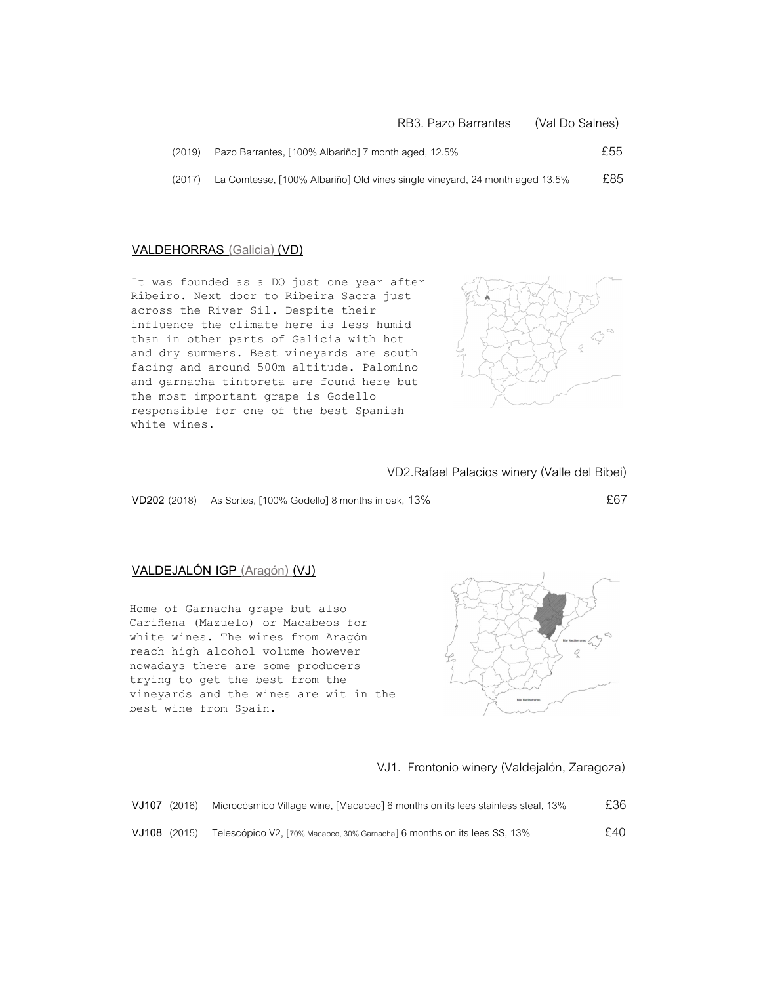| (2019) | Pazo Barrantes, [100% Albariño] 7 month aged, 12.5%                         | £55 |
|--------|-----------------------------------------------------------------------------|-----|
| (2017) | La Comtesse, [100% Albariño] Old vines single vineyard, 24 month aged 13.5% | £85 |

### **VALDEHORRAS (Galicia) (VD)**

It was founded as a DO just one year after Ribeiro. Next door to Ribeira Sacra just across the River Sil. Despite their influence the climate here is less humid than in other parts of Galicia with hot and dry summers. Best vineyards are south facing and around 500m altitude. Palomino and garnacha tintoreta are found here but the most important grape is Godello responsible for one of the best Spanish white wines.



VD2.Rafael Palacios winery (Valle del Bibei)

**VD202** (2018) As Sortes, [100% Godello] 8 months in oak, 13% **EG7** 

## **VALDEJALÓN IGP (Aragón) (VJ)**

Home of Garnacha grape but also Cariñena (Mazuelo) or Macabeos for white wines. The wines from Aragón reach high alcohol volume however nowadays there are some producers trying to get the best from the vineyards and the wines are wit in the best wine from Spain.



VJ1. Frontonio winery (Valdejalón, Zaragoza)

|              | VJ107 (2016) | Microcósmico Village wine, [Macabeo] 6 months on its lees stainless steal, 13% | £36 |
|--------------|--------------|--------------------------------------------------------------------------------|-----|
| VJ108 (2015) |              | Telescópico V2, [70% Macabeo, 30% Garnacha] 6 months on its lees SS, 13%       | £40 |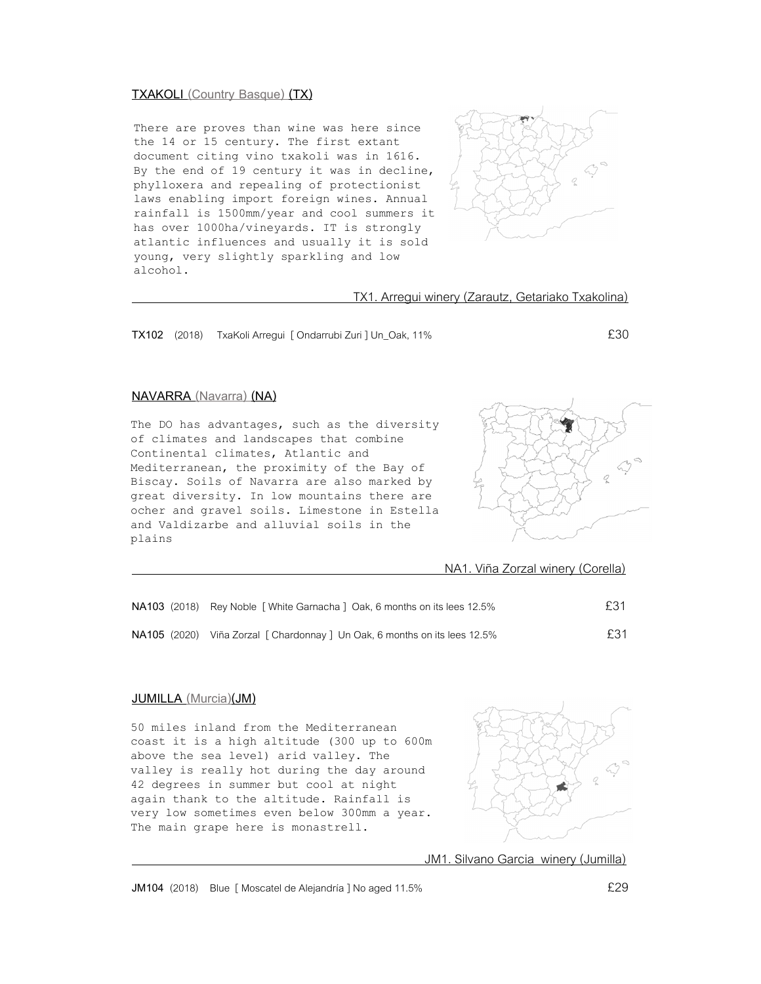### **TXAKOLI (Country Basque) (TX)**

There are proves than wine was here since the 14 or 15 century. The first extant document citing vino txakoli was in 1616. By the end of 19 century it was in decline, phylloxera and repealing of protectionist laws enabling import foreign wines. Annual rainfall is 1500mm/year and cool summers it has over 1000ha/vineyards. IT is strongly atlantic influences and usually it is sold young, very slightly sparkling and low alcohol.



TX1. Arregui winery (Zarautz, Getariako Txakolina)

**TX102** (2018) TxaKoli Arregui [ Ondarrubi Zuri ] Un\_Oak, 11% £30

## **NAVARRA (Navarra) (NA)**

The DO has advantages, such as the diversity of climates and landscapes that combine Continental climates, Atlantic and Mediterranean, the proximity of the Bay of Biscay. Soils of Navarra are also marked by great diversity. In low mountains there are ocher and gravel soils. Limestone in Estella and Valdizarbe and alluvial soils in the plains



NA1. Viña Zorzal winery (Corella)

| NA103 (2018) Rey Noble [White Garnacha ] Oak, 6 months on its lees 12.5%   | £31 |
|----------------------------------------------------------------------------|-----|
| NA105 (2020) Viña Zorzal [ Chardonnay ] Un Oak, 6 months on its lees 12.5% | £31 |

### **JUMILLA (Murcia)(JM)**

50 miles inland from the Mediterranean coast it is a high altitude (300 up to 600m above the sea level) arid valley. The valley is really hot during the day around 42 degrees in summer but cool at night again thank to the altitude. Rainfall is very low sometimes even below 300mm a year. The main grape here is monastrell.



JM1. Silvano Garcia winery (Jumilla)

**JM104** (2018) Blue [ Moscatel de Alejandría ] No aged 11.5% **EXALL**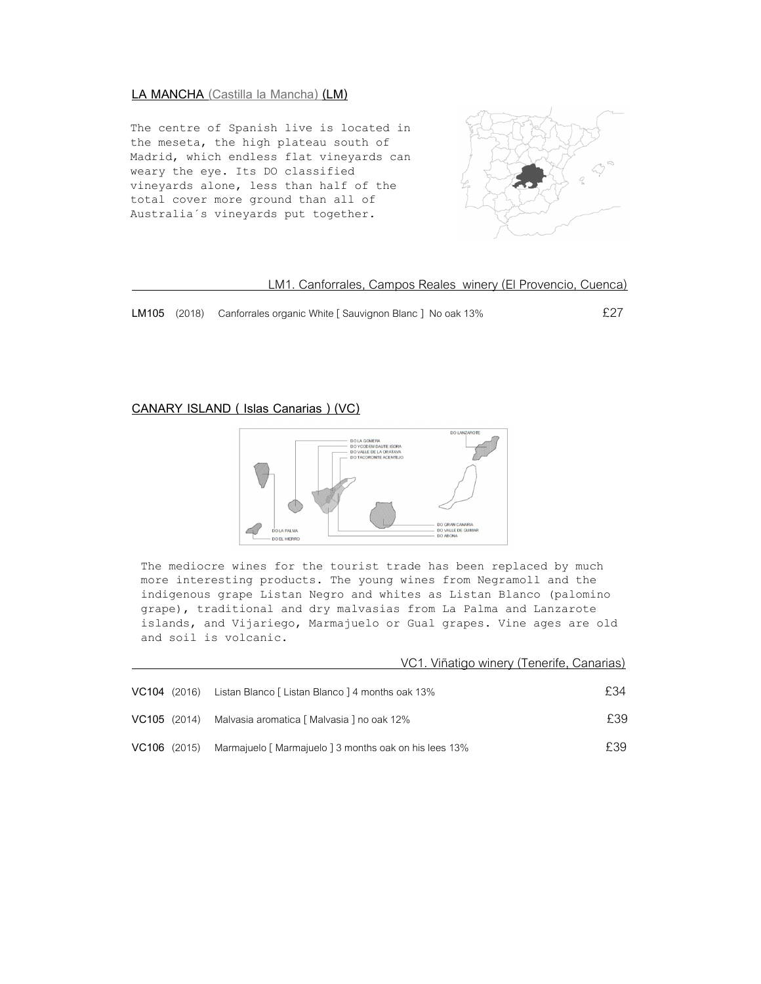### **LA MANCHA (Castilla la Mancha) (LM)**

The centre of Spanish live is located in the meseta, the high plateau south of Madrid, which endless flat vineyards can weary the eye. Its DO classified vineyards alone, less than half of the total cover more ground than all of Australia´s vineyards put together.



#### LM1. Canforrales, Campos Reales winery (El Provencio, Cuenca)

LM105 (2018) Canforrales organic White [ Sauvignon Blanc ] No oak 13% **E27** 

## **CANARY ISLAND ( Islas Canarias ) (VC)**



The mediocre wines for the tourist trade has been replaced by much more interesting products. The young wines from Negramoll and the indigenous grape Listan Negro and whites as Listan Blanco (palomino grape), traditional and dry malvasias from La Palma and Lanzarote islands, and Vijariego, Marmajuelo or Gual grapes. Vine ages are old and soil is volcanic.

|                |                                                        | VC1. Viñatigo winery (Tenerife, Canarias) |      |
|----------------|--------------------------------------------------------|-------------------------------------------|------|
| $VC104$ (2016) | Listan Blanco [ Listan Blanco ] 4 months oak 13%       |                                           | £34  |
| VC105 (2014)   | Malvasia aromatica [ Malvasia ] no oak 12%             |                                           | £39. |
| $VC106$ (2015) | Marmajuelo [ Marmajuelo ] 3 months oak on his lees 13% |                                           | £39  |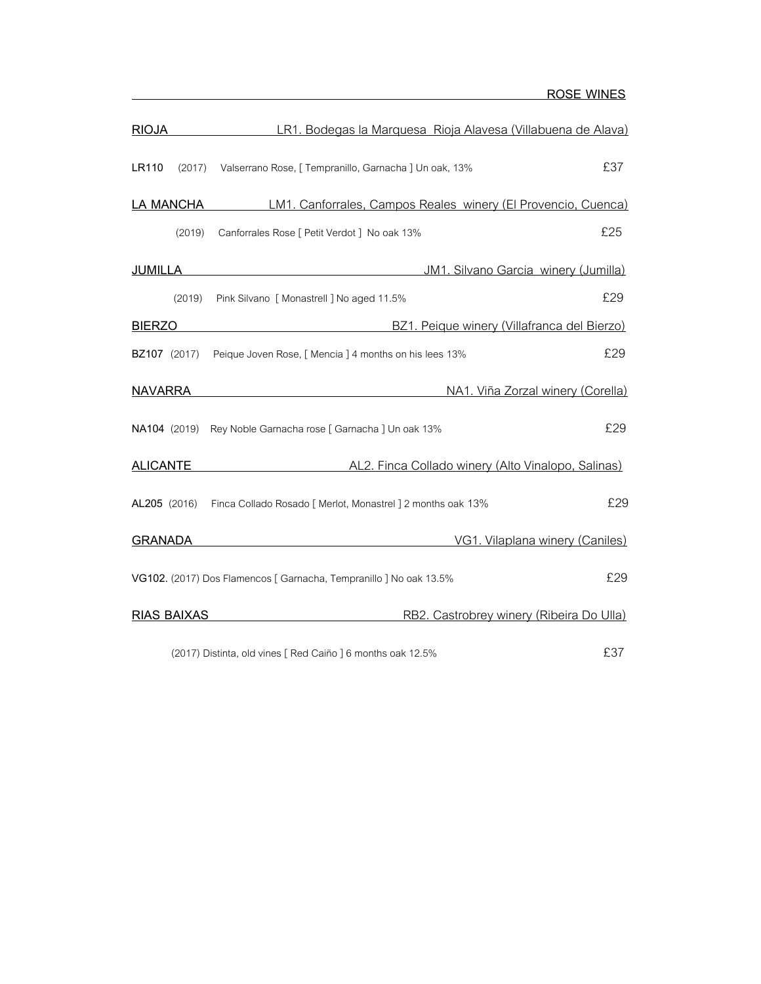| <b>RIOJA</b>        |                    | LR1. Bodegas la Marquesa Rioja Alavesa (Villabuena de Alava)              |  |
|---------------------|--------------------|---------------------------------------------------------------------------|--|
| LR110               | (2017)             | £37<br>Valserrano Rose, [ Tempranillo, Garnacha ] Un oak, 13%             |  |
|                     | <b>LA MANCHA</b>   | LM1. Canforrales, Campos Reales winery (El Provencio, Cuenca)             |  |
|                     | (2019)             | £25<br>Canforrales Rose [ Petit Verdot ] No oak 13%                       |  |
| <b>JUMILLA</b>      |                    | JM1. Silvano Garcia winery (Jumilla)                                      |  |
|                     | (2019)             | £29<br>Pink Silvano [ Monastrell ] No aged 11.5%                          |  |
| <b>BIERZO</b>       |                    | BZ1. Peique winery (Villafranca del Bierzo)                               |  |
| <b>BZ107</b> (2017) |                    | £29<br>Peique Joven Rose, [ Mencia ] 4 months on his lees 13%             |  |
| <b>NAVARRA</b>      |                    | NA1. Viña Zorzal winery (Corella)                                         |  |
|                     |                    | £29<br>NA104 (2019) Rey Noble Garnacha rose [ Garnacha ] Un oak 13%       |  |
| <b>ALICANTE</b>     |                    | AL2. Finca Collado winery (Alto Vinalopo, Salinas)                        |  |
| AL205 (2016)        |                    | £29<br>Finca Collado Rosado [ Merlot, Monastrel ] 2 months oak 13%        |  |
| <b>GRANADA</b>      |                    | VG1. Vilaplana winery (Caniles)                                           |  |
|                     |                    | £29<br>VG102. (2017) Dos Flamencos [ Garnacha, Tempranillo ] No oak 13.5% |  |
|                     | <b>RIAS BAIXAS</b> | RB2. Castrobrey winery (Ribeira Do Ulla)                                  |  |
|                     |                    | £37<br>(2017) Distinta, old vines [ Red Caiño ] 6 months oak 12.5%        |  |